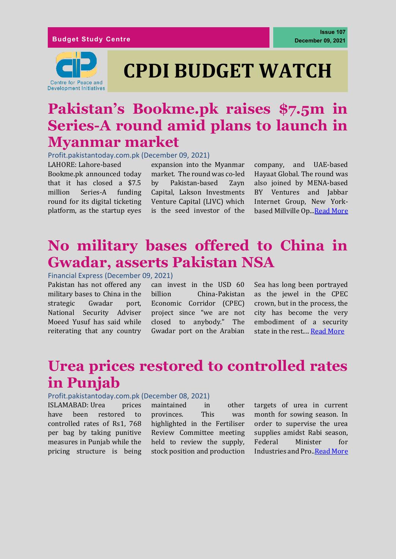#### **Budget Study Centre**



# **CPDI BUDGET WATCH**

### **Pakistan's Bookme.pk raises \$7.5m in Series-A round amid plans to launch in Myanmar market**

Profit.pakistantoday.com.pk (December 09, 2021)

LAHORE: Lahore-based Bookme.pk announced today that it has closed a \$7.5 million Series-A funding round for its digital ticketing platform, as the startup eyes

expansion into the Myanmar market. The round was co-led by Pakistan-based Zayn Capital, Lakson Investments Venture Capital (LIVC) which is the seed investor of the

company, and UAE-based Hayaat Global. The round was also joined by MENA-based BY Ventures and Jabbar Internet Group, New Yorkbased Millville Op.[..Read More](https://www.financialexpress.com/defence/no-military-bases-offered-to-china-in-gwadar-asserts-pakistan-nsa/2385408/)

#### **No military bases offered to China in Gwadar, asserts Pakistan NSA**

Financial Express (December 09, 2021)

Pakistan has not offered any military bases to China in the strategic Gwadar port, National Security Adviser Moeed Yusuf has said while reiterating that any country

can invest in the USD 60 billion China-Pakistan Economic Corridor (CPEC) project since "we are not closed to anybody." The Gwadar port on the Arabian

Sea has long been portrayed as the jewel in the CPEC crown, but in the process, the city has become the very embodiment of a security state in the rest.... [Read More](https://www.financialexpress.com/defence/no-military-bases-offered-to-china-in-gwadar-asserts-pakistan-nsa/2385408/)

### **Urea prices restored to controlled rates in Punjab**

#### Profit.pakistantoday.com.pk (December 08, 2021)

ISLAMABAD: Urea prices have been restored to controlled rates of Rs1, 768 per bag by taking punitive measures in Punjab while the pricing structure is being

maintained in other provinces. This was highlighted in the Fertiliser Review Committee meeting held to review the supply, stock position and production

targets of urea in current month for sowing season. In order to supervise the urea supplies amidst Rabi season, Federal Minister for Industries and Pro[..Read More](https://profit.pakistantoday.com.pk/2021/12/08/urea-prices-restored-to-controlled-rates-in-punjab/)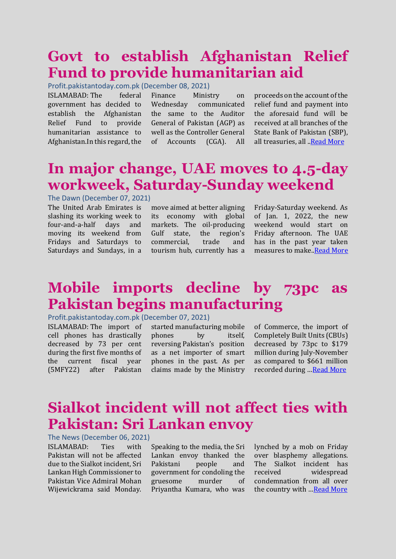### **Govt to establish Afghanistan Relief Fund to provide humanitarian aid**

Profit.pakistantoday.com.pk (December 08, 2021)

ISLAMABAD: The federal government has decided to establish the Afghanistan Relief Fund to provide humanitarian assistance to Afghanistan.In this regard, the

Finance Ministry on Wednesday communicated the same to the Auditor General of Pakistan (AGP) as well as the Controller General of Accounts (CGA). All

proceeds on the account of the relief fund and payment into the aforesaid fund will be received at all branches of the State Bank of Pakistan (SBP), all treasuries, all .[.Read More](https://profit.pakistantoday.com.pk/2021/12/08/govt-to-establish-afghanistan-relief-fund-to-provide-humanitarian-aid/)

### **In major change, UAE moves to 4.5-day workweek, Saturday-Sunday weekend**

#### The Dawn (December 07, 2021)

The United Arab Emirates is slashing its working week to four-and-a-half days and moving its weekend from Fridays and Saturdays to Saturdays and Sundays, in a move aimed at better aligning its economy with global markets. The oil-producing Gulf state, the region's commercial, trade and tourism hub, currently has a

Friday-Saturday weekend. As of Jan. 1, 2022, the new weekend would start on Friday afternoon. The UAE has in the past year taken measures to make[..Read More](https://www.dawn.com/news/1662442)

### **Mobile imports decline by 73pc as Pakistan begins manufacturing**

#### Profit.pakistantoday.com.pk (December 07, 2021)

ISLAMABAD: The import of cell phones has drastically decreased by 73 per cent during the first five months of the current fiscal year (5MFY22) after Pakistan started manufacturing mobile phones by itself, reversing Pakistan's position as a net importer of smart phones in the past. As per claims made by the Ministry of Commerce, the import of Completely Built Units (CBUs) decreased by 73pc to \$179 million during July-November as compared to \$661 million recorded during …[Read More](https://profit.pakistantoday.com.pk/2021/12/07/mobile-imports-decline-by-73pc-as-pakistan-begins-manufacturing/)

### **Sialkot incident will not affect ties with Pakistan: Sri Lankan envoy**

The News (December 06, 2021) ISLAMABAD: Ties with Pakistan will not be affected due to the Sialkot incident, Sri Lankan High Commissioner to Pakistan Vice Admiral Mohan Wijewickrama said Monday.

Speaking to the media, the Sri Lankan envoy thanked the Pakistani people and government for condoling the gruesome murder of Priyantha Kumara, who was lynched by a mob on Friday over blasphemy allegations. The Sialkot incident has received widespread condemnation from all over the country with …[Read More](https://www.thenews.com.pk/latest/914554-sialkot-incident-will-not-affect-ties-with-pakistan-sri-lanka-envoy)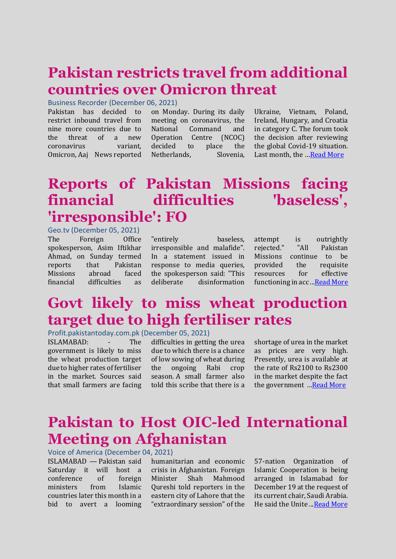#### **Pakistan restricts travel from additional countries over Omicron threat**

Business Recorder (December 06, 2021)

Pakistan has decided to restrict inbound travel from nine more countries due to the threat of a new coronavirus variant, Omicron, Aaj News reported

on Monday. During its daily meeting on coronavirus, the National Command and Operation Centre (NCOC) decided to place the Netherlands, Slovenia,

Ukraine, Vietnam, Poland, Ireland, Hungary, and Croatia in category C. The forum took the decision after reviewing the global Covid-19 situation. Last month, the …[Read More](https://www.brecorder.com/news/40138060)

### **Reports of Pakistan Missions facing financial difficulties 'baseless', 'irresponsible': FO**

Geo.tv (December 05, 2021) The Foreign Office spokesperson, Asim Iftikhar Ahmad, on Sunday termed reports that Pakistan Missions abroad faced financial difficulties as

"entirely baseless, irresponsible and malafide". In a statement issued in response to media queries, the spokesperson said: "This deliberate disinformation

attempt is outrightly rejected." "All Pakistan Missions continue to be provided the requisite resources for effective functioning in acc ..[.Read More](https://www.geo.tv/latest/386037-reports-of-pakistan-missions-facing-financial-difficulties-baseless-irresponsible-fo)

### **Govt likely to miss wheat production target due to high fertiliser rates**

#### Profit.pakistantoday.com.pk (December 05, 2021)

ISLAMABAD: - The government is likely to miss the wheat production target due to higher rates of fertiliser in the market. Sources said that small farmers are facing

difficulties in getting the urea due to which there is a chance of low sowing of wheat during the ongoing Rabi crop season. A small farmer also told this scribe that there is a shortage of urea in the market as prices are very high. Presently, urea is available at the rate of Rs2100 to Rs2300 in the market despite the fact the government .[..Read More](https://profit.pakistantoday.com.pk/2021/12/05/govt-likely-to-miss-wheat-production-target-due-to-high-fertiliser-rates/)

### **Pakistan to Host OIC-led International Meeting on Afghanistan**

Voice of America (December 04, 2021)

ISLAMABAD — Pakistan said Saturday it will host a conference of foreign ministers from Islamic countries later this month in a bid to avert a looming

humanitarian and economic crisis in Afghanistan. Foreign Minister Shah Mahmood Qureshi told reporters in the eastern city of Lahore that the "extraordinary session" of the 57-nation Organization of Islamic Cooperation is being arranged in Islamabad for December 19 at the request of its current chair, Saudi Arabia. He said the Unite ... Read More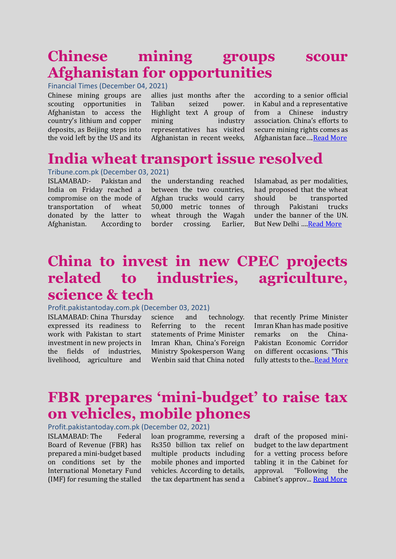### **Chinese mining groups scour Afghanistan for opportunities**

Financial Times (December 04, 2021)

Chinese mining groups are scouting opportunities in Afghanistan to access the country's lithium and copper deposits, as Beijing steps into the void left by the US and its

allies just months after the Taliban seized power. Highlight text A group of mining industry representatives has visited Afghanistan in recent weeks,

according to a senior official in Kabul and a representative from a Chinese industry association. China's efforts to secure mining rights comes as Afghanistan face….[Read More](https://www.ft.com/content/4c0eb548-3c00-4702-8d43-227d80b94a4a)

#### **India wheat transport issue resolved**

Tribune.com.pk (December 03, 2021) ISLAMABAD:- [Pakistan](http://tribune.com.pk/pakistan) and India on Friday reached a compromise on the mode of transportation of wheat donated by the latter to Afghanistan. According to

the understanding reached between the two countries, Afghan trucks would carry 50,000 metric tonnes of wheat through the Wagah border crossing. Earlier,

Islamabad, as per modalities, had proposed that the wheat should be transported through Pakistani trucks under the banner of the UN. But New Delhi ….[Read More](https://tribune.com.pk/story/2332273/india-wheat-transport-issue-resolved)

#### **China to invest in new CPEC projects related to industries, agriculture, science & tech**

#### Profit.pakistantoday.com.pk (December 03, 2021)

ISLAMABAD: China Thursday expressed its readiness to work with Pakistan to start investment in new projects in the fields of industries, livelihood, agriculture and

science and technology. Referring to the recent statements of Prime Minister Imran Khan, China's Foreign Ministry Spokesperson Wang Wenbin said that China noted

that recently Prime Minister Imran Khan has made positive remarks on the China-Pakistan Economic Corridor on different occasions. "This fully attests to the..[.Read More](https://profit.pakistantoday.com.pk/2021/12/03/china-to-invest-in-new-cpec-projects-related-to-industries-agriculture-science-tech/)

### **FBR prepares 'mini-budget' to raise tax on vehicles, mobile phones**

Profit.pakistantoday.com.pk (December 02, 2021)

ISLAMABAD: The Federal Board of Revenue (FBR) has prepared a mini-budget based on conditions set by the International Monetary Fund (IMF) for resuming the stalled

loan programme, reversing a Rs350 billion tax relief on multiple products including mobile phones and imported vehicles. According to details, the tax department has send a draft of the proposed minibudget to the law department for a vetting process before tabling it in the Cabinet for approval. "Following the Cabinet's approv... [Read More](https://profit.pakistantoday.com.pk/2021/12/02/fbr-prepares-mini-budget-to-raise-tax-on-vehicles-mobile-phones/)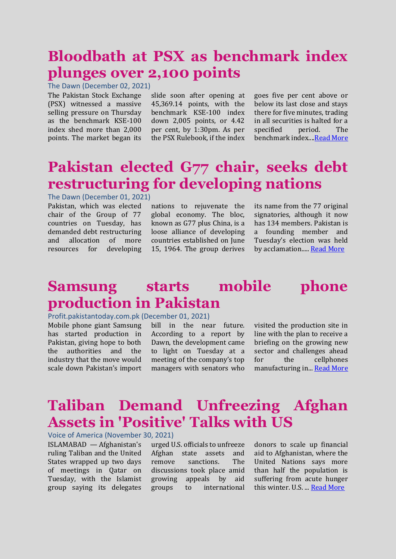### **Bloodbath at PSX as benchmark index plunges over 2,100 points**

The Dawn (December 02, 2021)

The Pakistan Stock Exchange (PSX) witnessed a massive selling pressure on Thursday as the benchmark KSE-100 index shed more than 2,000 points. The market began its

slide soon after opening at 45,369.14 points, with the benchmark KSE-100 index down 2,005 points, or 4.42 per cent, by 1:30pm. As per the PSX Rulebook, if the index

goes five per cent above or below its last close and stays there for five minutes, trading in all securities is halted for a specified period. The benchmark index...[.Read More](https://www.dawn.com/news/1661504)

### **Pakistan elected G77 chair, seeks debt restructuring for developing nations**

The Dawn (December 01, 2021)

Pakistan, which was elected chair of the Group of 77 countries on Tuesday, has demanded debt restructuring and allocation of more resources for developing nations to rejuvenate the global economy. The bloc, known as G77 plus China, is a loose alliance of developing countries established on June 15, 1964. The group derives

its name from the 77 original signatories, although it now has 134 members. Pakistan is a founding member and Tuesday's election was held by acclamation..... [Read More](https://www.dawn.com/news/1661335)

### **Samsung starts mobile phone production in Pakistan**

#### Profit.pakistantoday.com.pk (December 01, 2021)

Mobile phone giant Samsung has started production in Pakistan, giving hope to both the authorities and the industry that the move would scale down Pakistan's import bill in the near future. According to a report by Dawn, the development came to light on Tuesday at a meeting of the company's top managers with senators who

visited the production site in line with the plan to receive a briefing on the growing new sector and challenges ahead for the cellphones manufacturing in..[. Read More](https://profit.pakistantoday.com.pk/2021/12/01/samsung-starts-mobile-phone-production-in-pakistan/)

### **Taliban Demand Unfreezing Afghan Assets in 'Positive' Talks with US**

Voice of America (November 30, 2021)

ISLAMABAD — Afghanistan's ruling Taliban and the United States wrapped up two days of meetings in Qatar on Tuesday, with the Islamist group saying its delegates urged U.S. officials to unfreeze Afghan state assets and remove sanctions. The discussions took place amid growing appeals by aid groups to international donors to scale up financial aid to Afghanistan, where the United Nations says more than half the population is suffering from acute hunger this winter. U.S. ... [Read More](https://www.voanews.com/a/taliban-demand-unfreezing-afghan-assets-in-positive-talks-with-us-/6334036.html)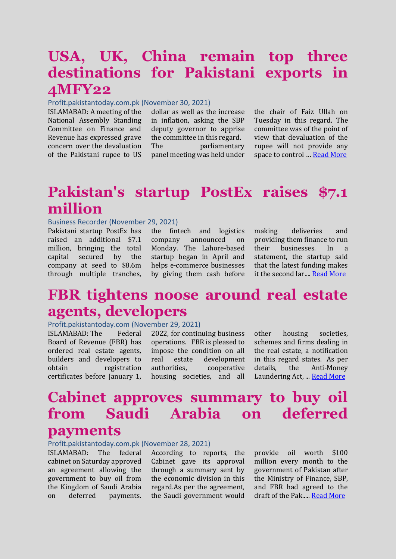#### **USA, UK, China remain top three destinations for Pakistani exports in 4MFY22**

#### Profit.pakistantoday.com.pk (November 30, 2021)

ISLAMABAD: A meeting of the National Assembly Standing Committee on Finance and Revenue has expressed grave concern over the devaluation of the Pakistani rupee to US

dollar as well as the increase in inflation, asking the SBP deputy governor to apprise the committee in this regard. The parliamentary panel meeting was held under the chair of Faiz Ullah on Tuesday in this regard. The committee was of the point of view that devaluation of the rupee will not provide any space to control … [Read More](https://profit.pakistantoday.com.pk/2021/11/30/usa-uk-china-remain-top-three-destinations-for-pakistani-exports-in-4mfy22/)

#### **Pakistan's startup PostEx raises \$7.1 million**

#### Business Recorder (November 29, 2021)

Pakistani startup PostEx has raised an additional \$7.1 million, bringing the total capital secured by the company at seed to \$8.6m through multiple tranches,

the fintech and logistics company announced on Monday. The Lahore-based startup began in April and helps e-commerce businesses by giving them cash before making deliveries and providing them finance to run their businesses. In a statement, the startup said that the latest funding makes it the second lar.... [Read More](https://www.brecorder.com/news/40136611)

#### **FBR tightens noose around real estate agents, developers**

#### Profit.pakistantoday.com (November 29, 2021)

ISLAMABAD: The Federal Board of Revenue (FBR) has ordered real estate agents, builders and developers to obtain registration certificates before January 1,

2022, for continuing business operations. FBR is pleased to impose the condition on all real estate development authorities, cooperative housing societies, and all

other housing societies, schemes and firms dealing in the real estate, a notification in this regard states. As per details, the Anti-Money Laundering Act, ..[. Read More](https://profit.pakistantoday.com.pk/2021/11/29/fbr-tightens-noose-around-real-estate-agents-developers/)

#### **Cabinet approves summary to buy oil from Saudi Arabia on deferred payments**

#### Profit.pakistantoday.com.pk (November 28, 2021)

ISLAMABAD: The federal cabinet on Saturday approved an agreement allowing the government to buy oil from the Kingdom of Saudi Arabia on deferred payments.

According to reports, the Cabinet gave its approval through a summary sent by the economic division in this regard.As per the agreement, the Saudi government would

provide oil worth \$100 million every month to the government of Pakistan after the Ministry of Finance, SBP, and FBR had agreed to the draft of the Pak....[. Read More](https://profit.pakistantoday.com.pk/2021/11/28/cabinet-approves-summary-to-buy-oil-from-saudi-arabia-on-deferred-payments/)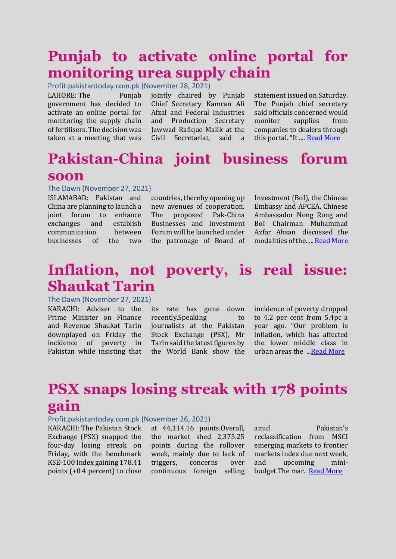### **Punjab to activate online portal for monitoring urea supply chain**

Profit.pakistantoday.com.pk (November 28, 2021)

LAHORE: The Punjab government has decided to activate an online portal for monitoring the supply chain of fertilisers. The decision was taken at a meeting that was jointly chaired by Punjab Chief Secretary Kamran Ali Afzal and Federal Industries and Production Secretary Jawwad Rafique Malik at the Civil Secretariat, said a

statement issued on Saturday. The Punjab chief secretary said officials concerned would monitor supplies from companies to dealers through this portal. "It .... [Read More](https://profit.pakistantoday.com.pk/2021/11/28/punjab-to-activate-online-portal-for-monitoring-urea-supply-chain/)

#### **Pakistan-China joint business forum soon**

#### The Dawn (November 27, 2021)

ISLAMABAD: Pakistan and China are planning to launch a joint forum to enhance exchanges and establish communication between businesses of the two

countries, thereby opening up new avenues of cooperation. The proposed Pak-China Businesses and Investment Forum will be launched under the patronage of Board of

Investment (BoI), the Chinese Embassy and APCEA. Chinese Ambassador Nong Rong and BoI Chairman Muhammad Azfar Ahsan discussed the modalities of the....[. Read More](https://www.dawn.com/news/1660503)

#### **Inflation, not poverty, is real issue: Shaukat Tarin**

The Dawn (November 27, 2021)

KARACHI: Adviser to the Prime Minister on Finance and Revenue Shaukat Tarin downplayed on Friday the incidence of poverty in Pakistan while insisting that its rate has gone down recently.Speaking to journalists at the Pakistan Stock Exchange (PSX), Mr Tarin said the latest figures by the World Bank show the

incidence of poverty dropped to 4.2 per cent from 5.4pc a year ago. "Our problem is inflation, which has affected the lower middle class in urban areas the ..[.Read More](https://www.dawn.com/news/1660469)

### **PSX snaps losing streak with 178 points gain**

#### Profit.pakistantoday.com.pk (November 26, 2021)

KARACHI: The Pakistan Stock Exchange (PSX) snapped the four-day losing streak on Friday, with the benchmark KSE-100 Index gaining 178.41 points (+0.4 percent) to close

at 44,114.16 points.Overall, the market shed 2,375.25 points during the rollover week, mainly due to lack of triggers, concerns over continuous foreign selling

amid Pakistan's reclassification from MSCI emerging markets to frontier markets index due next week, and upcoming minibudget.The mar.. [Read More](https://profit.pakistantoday.com.pk/2021/11/26/psx-snaps-losing-streak-with-178-points-gain/)